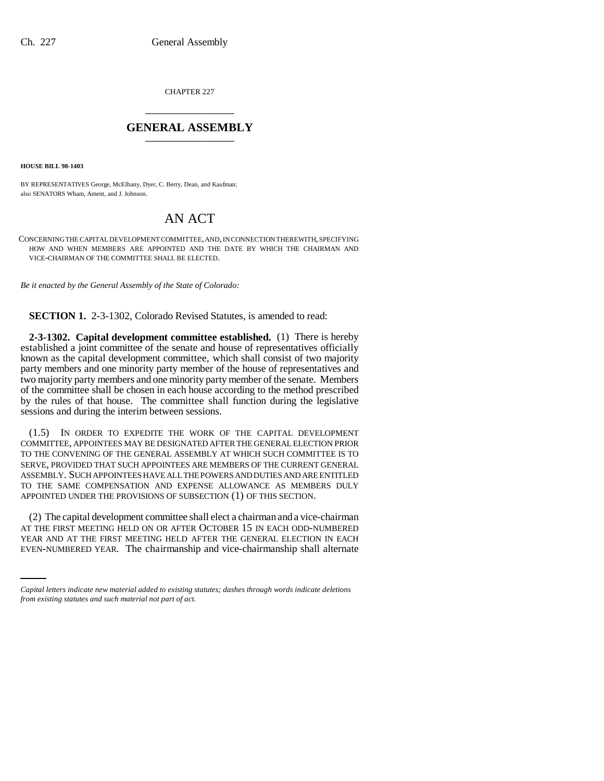CHAPTER 227 \_\_\_\_\_\_\_\_\_\_\_\_\_\_\_

## **GENERAL ASSEMBLY** \_\_\_\_\_\_\_\_\_\_\_\_\_\_\_

**HOUSE BILL 98-1403**

BY REPRESENTATIVES George, McElhany, Dyer, C. Berry, Dean, and Kaufman; also SENATORS Wham, Ament, and J. Johnson.

## AN ACT

CONCERNING THE CAPITAL DEVELOPMENT COMMITTEE, AND, IN CONNECTION THEREWITH, SPECIFYING HOW AND WHEN MEMBERS ARE APPOINTED AND THE DATE BY WHICH THE CHAIRMAN AND VICE-CHAIRMAN OF THE COMMITTEE SHALL BE ELECTED.

*Be it enacted by the General Assembly of the State of Colorado:*

**SECTION 1.** 2-3-1302, Colorado Revised Statutes, is amended to read:

**2-3-1302. Capital development committee established.** (1) There is hereby established a joint committee of the senate and house of representatives officially known as the capital development committee, which shall consist of two majority party members and one minority party member of the house of representatives and two majority party members and one minority party member of the senate. Members of the committee shall be chosen in each house according to the method prescribed by the rules of that house. The committee shall function during the legislative sessions and during the interim between sessions.

(1.5) IN ORDER TO EXPEDITE THE WORK OF THE CAPITAL DEVELOPMENT COMMITTEE, APPOINTEES MAY BE DESIGNATED AFTER THE GENERAL ELECTION PRIOR TO THE CONVENING OF THE GENERAL ASSEMBLY AT WHICH SUCH COMMITTEE IS TO SERVE, PROVIDED THAT SUCH APPOINTEES ARE MEMBERS OF THE CURRENT GENERAL ASSEMBLY. SUCH APPOINTEES HAVE ALL THE POWERS AND DUTIES AND ARE ENTITLED TO THE SAME COMPENSATION AND EXPENSE ALLOWANCE AS MEMBERS DULY APPOINTED UNDER THE PROVISIONS OF SUBSECTION (1) OF THIS SECTION.

AT THE FIRST MEETING HELD ON OR AFTER OCTOBER 15 IN EACH ODD-NUMBERED (2) The capital development committee shall elect a chairman and a vice-chairman YEAR AND AT THE FIRST MEETING HELD AFTER THE GENERAL ELECTION IN EACH EVEN-NUMBERED YEAR. The chairmanship and vice-chairmanship shall alternate

*Capital letters indicate new material added to existing statutes; dashes through words indicate deletions from existing statutes and such material not part of act.*